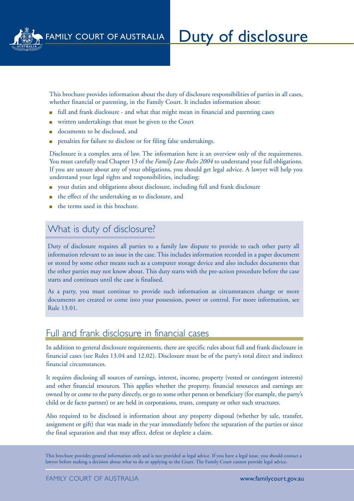

This brochure provides information about the duty of disclosure responsibilities of parties in all cases, whether financial or parenting, in the Family Court. It includes information about:

- full and frank disclosure and what that might mean in financial and parenting cases
- written undertakings that must be given to the Court
- documents to be disclosed, and
- penalties for failure to disclose or for filing false undertakings.

Disclosure is a complex area of law. The information here is an overview only of the requirements. You must carefully read Chapter 13 of the *Family Law Rules 2004* to understand your full obligations. If you are unsure about any of your obligations, you should get legal advice. A lawyer will help you understand your legal rights and responsibilities, including:

- <sup>n</sup> your duties and obligations about disclosure, including full and frank disclosure
- the effect of the undertaking as to disclosure, and
- the terms used in this brochure.

# What is duty of disclosure?

Duty of disclosure requires all parties to a family law dispute to provide to each other party all information relevant to an issue in the case. This includes information recorded in a paper document or stored by some other means such as a computer storage device and also includes documents that the other parties may not know about. This duty starts with the pre-action procedure before the case starts and continues until the case is finalised.

As a party, you must continue to provide such information as circumstances change or more documents are created or come into your possession, power or control. For more information, see Rule 13.01.

### Full and frank disclosure in financial cases

In addition to general disclosure requirements, there are specific rules about full and frank disclosure in financial cases (see Rules 13.04 and 12.02). Disclosure must be of the party's total direct and indirect financial circumstances.

It requires disclosing all sources of earnings, interest, income, property (vested or contingent interests) and other financial resources. This applies whether the property, financial resources and earnings are owned by or come to the party directly, or go to some other person or beneficiary (for example, the party's child or de facto partner) or are held in corporations, trusts, company or other such structures.

Also required to be disclosed is information about any property disposal (whether by sale, transfer, assignment or gift) that was made in the year immediately before the separation of the parties or since the final separation and that may affect, defeat or deplete a claim.

This brochure provides general information only and is not provided as legal advice. If you have a legal issue, you should contact a lawyer before making a decision about what to do or applying to the Court. The Family Court cannot provide legal advice.